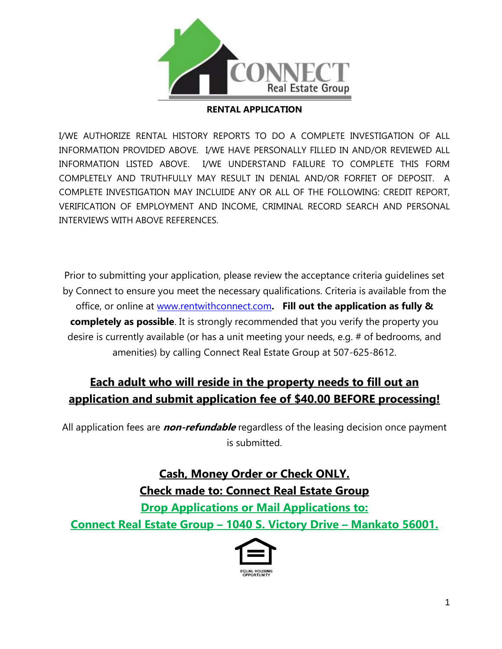

## **RENTAL APPLICATION**

I/WE AUTHORIZE RENTAL HISTORY REPORTS TO DO A COMPLETE INVESTIGATION OF ALL INFORMATION PROVIDED ABOVE. I/WE HAVE PERSONALLY FILLED IN AND/OR REVIEWED ALL INFORMATION LISTED ABOVE. I/WE UNDERSTAND FAILURE TO COMPLETE THIS FORM COMPLETELY AND TRUTHFULLY MAY RESULT IN DENIAL AND/OR FORFIET OF DEPOSIT. A COMPLETE INVESTIGATION MAY INCLUIDE ANY OR ALL OF THE FOLLOWING: CREDIT REPORT, VERIFICATION OF EMPLOYMENT AND INCOME, CRIMINAL RECORD SEARCH AND PERSONAL INTERVIEWS WITH ABOVE REFERENCES.

Prior to submitting your application, please review the acceptance criteria guidelines set by Connect to ensure you meet the necessary qualifications. Criteria is available from the office, or online at [www.rentwithconnect.com](http://www.rentwithconnect.com/)**. Fill out the application as fully & completely as possible**. It is strongly recommended that you verify the property you desire is currently available (or has a unit meeting your needs, e.g. # of bedrooms, and amenities) by calling Connect Real Estate Group at 507-625-8612.

## **Each adult who will reside in the property needs to fill out an application and submit application fee of \$40.00 BEFORE processing!**

All application fees are **non-refundable** regardless of the leasing decision once payment is submitted.

> **Cash, Money Order or Check ONLY. Check made to: Connect Real Estate Group Drop Applications or Mail Applications to:**

**Connect Real Estate Group – 1040 S. Victory Drive – Mankato 56001.**

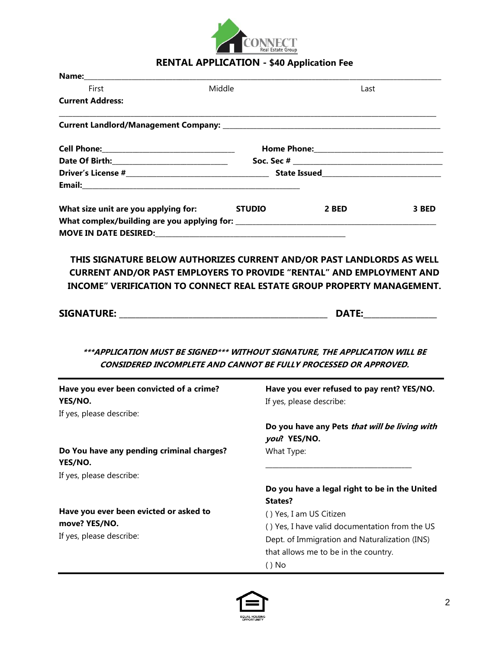

## **RENTAL APPLICATION - \$40 Application Fee**

| Name:                                                                                                                              |                |                                                                                                                                            |       |  |  |
|------------------------------------------------------------------------------------------------------------------------------------|----------------|--------------------------------------------------------------------------------------------------------------------------------------------|-------|--|--|
| First                                                                                                                              | Middle<br>Last |                                                                                                                                            |       |  |  |
| <b>Current Address:</b>                                                                                                            |                |                                                                                                                                            |       |  |  |
|                                                                                                                                    |                |                                                                                                                                            |       |  |  |
|                                                                                                                                    |                |                                                                                                                                            |       |  |  |
|                                                                                                                                    |                |                                                                                                                                            |       |  |  |
|                                                                                                                                    |                |                                                                                                                                            |       |  |  |
|                                                                                                                                    |                |                                                                                                                                            |       |  |  |
| What size unit are you applying for: STUDIO                                                                                        |                | 2 BED                                                                                                                                      | 3 BED |  |  |
|                                                                                                                                    |                |                                                                                                                                            |       |  |  |
| <b>CURRENT AND/OR PAST EMPLOYERS TO PROVIDE "RENTAL" AND EMPLOYMENT AND</b>                                                        |                |                                                                                                                                            |       |  |  |
| <b>INCOME" VERIFICATION TO CONNECT REAL ESTATE GROUP PROPERTY MANAGEMENT.</b>                                                      |                |                                                                                                                                            |       |  |  |
|                                                                                                                                    |                |                                                                                                                                            |       |  |  |
|                                                                                                                                    |                |                                                                                                                                            |       |  |  |
| ***APPLICATION MUST BE SIGNED*** WITHOUT SIGNATURE, THE APPLICATION WILL BE<br>Have you ever been convicted of a crime?<br>YES/NO. |                | CONSIDERED INCOMPLETE AND CANNOT BE FULLY PROCESSED OR APPROVED.<br>Have you ever refused to pay rent? YES/NO.<br>If yes, please describe: |       |  |  |
| If yes, please describe:                                                                                                           |                | Do you have any Pets that will be living with<br>you? YES/NO.                                                                              |       |  |  |
| Do You have any pending criminal charges?<br>YES/NO.                                                                               |                | What Type:                                                                                                                                 |       |  |  |
| If yes, please describe:                                                                                                           |                |                                                                                                                                            |       |  |  |
|                                                                                                                                    |                | Do you have a legal right to be in the United<br>States?                                                                                   |       |  |  |
| Have you ever been evicted or asked to                                                                                             |                |                                                                                                                                            |       |  |  |
| move? YES/NO.                                                                                                                      |                | () Yes, I am US Citizen                                                                                                                    |       |  |  |
| If yes, please describe:                                                                                                           |                | () Yes, I have valid documentation from the US                                                                                             |       |  |  |
|                                                                                                                                    |                | Dept. of Immigration and Naturalization (INS)                                                                                              |       |  |  |
|                                                                                                                                    |                |                                                                                                                                            |       |  |  |
|                                                                                                                                    | $()$ No        | that allows me to be in the country.                                                                                                       |       |  |  |